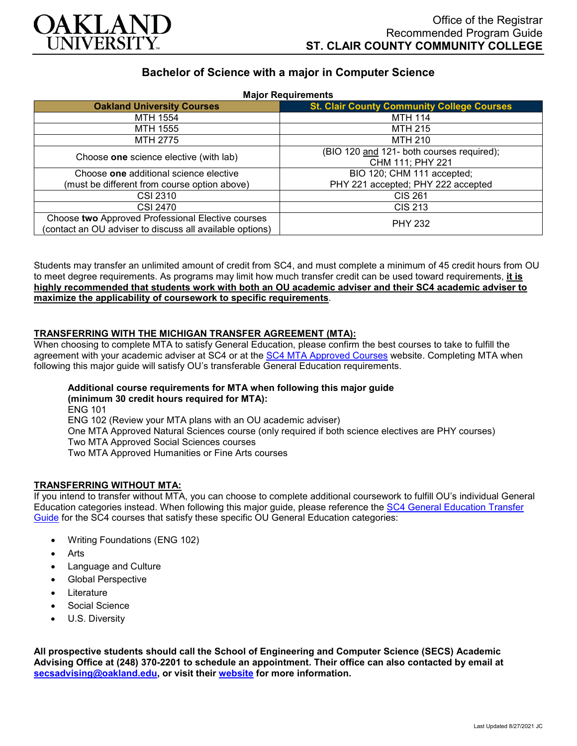

## **Bachelor of Science with a major in Computer Science**

| <b>Major Requirements</b>                                |                                                   |
|----------------------------------------------------------|---------------------------------------------------|
| <b>Oakland University Courses</b>                        | <b>St. Clair County Community College Courses</b> |
| MTH 1554                                                 | <b>MTH 114</b>                                    |
| MTH 1555                                                 | MTH 215                                           |
| MTH 2775                                                 | MTH 210                                           |
| Choose one science elective (with lab)                   | (BIO 120 and 121- both courses required);         |
|                                                          | CHM 111; PHY 221                                  |
| Choose one additional science elective                   | BIO 120; CHM 111 accepted;                        |
| (must be different from course option above)             | PHY 221 accepted; PHY 222 accepted                |
| CSI 2310                                                 | <b>CIS 261</b>                                    |
| <b>CSI 2470</b>                                          | <b>CIS 213</b>                                    |
| Choose two Approved Professional Elective courses        | <b>PHY 232</b>                                    |
| (contact an OU adviser to discuss all available options) |                                                   |

Students may transfer an unlimited amount of credit from SC4, and must complete a minimum of 45 credit hours from OU to meet degree requirements. As programs may limit how much transfer credit can be used toward requirements, **it is highly recommended that students work with both an OU academic adviser and their SC4 academic adviser to maximize the applicability of coursework to specific requirements**.

### **TRANSFERRING WITH THE MICHIGAN TRANSFER AGREEMENT (MTA):**

When choosing to complete MTA to satisfy General Education, please confirm the best courses to take to fulfill the agreement with your academic adviser at SC4 or at the [SC4 MTA Approved Courses](https://sc4.edu/admissions/transferring-after-sc4/michigan-transfer-agreement/) website. Completing MTA when following this major guide will satisfy OU's transferable General Education requirements.

# **Additional course requirements for MTA when following this major guide**

**(minimum 30 credit hours required for MTA):** ENG 101 ENG 102 (Review your MTA plans with an OU academic adviser) One MTA Approved Natural Sciences course (only required if both science electives are PHY courses) Two MTA Approved Social Sciences courses Two MTA Approved Humanities or Fine Arts courses

#### **TRANSFERRING WITHOUT MTA:**

If you intend to transfer without MTA, you can choose to complete additional coursework to fulfill OU's individual General Education categories instead. When following this major guide, please reference the [SC4 General Education Transfer](https://www.oakland.edu/Assets/Oakland/program-guides/st-clair-county-community-college/university-general-education-requirements/SC4%20Gen%20Ed.pdf)  [Guide](https://www.oakland.edu/Assets/Oakland/program-guides/st-clair-county-community-college/university-general-education-requirements/SC4%20Gen%20Ed.pdf) for the SC4 courses that satisfy these specific OU General Education categories:

- Writing Foundations (ENG 102)
- **Arts**
- Language and Culture
- Global Perspective
- **Literature**
- Social Science
- U.S. Diversity

**All prospective students should call the School of Engineering and Computer Science (SECS) Academic Advising Office at (248) 370-2201 to schedule an appointment. Their office can also contacted by email at [secsadvising@oakland.edu,](mailto:secsadvising@oakland.edu) or visit their [website](https://wwwp.oakland.edu/secs/advising/) for more information.**